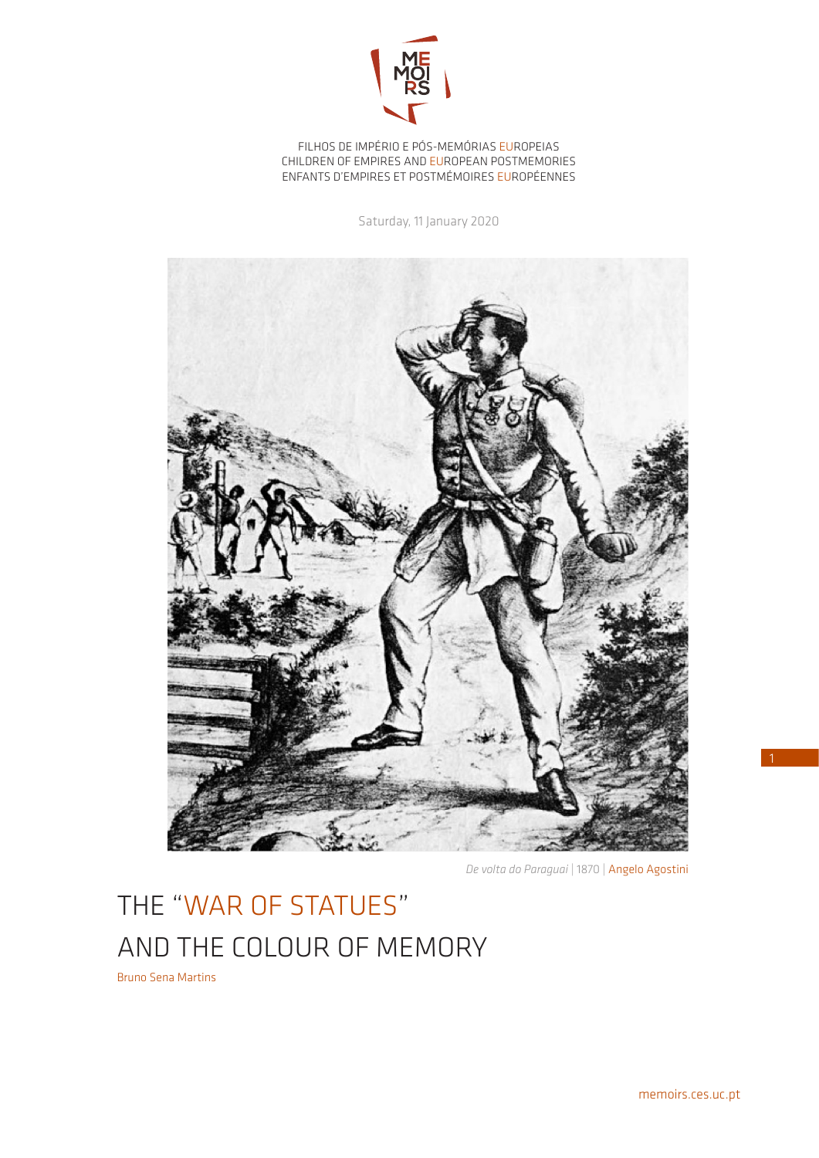

FILHOS DE IMPÉRIO E PÓS-MEMÓRIAS EUROPEIAS CHILDREN OF EMPIRES AND EUROPEAN POSTMEMORIES ENFANTS D'EMPIRES ET POSTMÉMOIRES EUROPÉENNES

Saturday, 11 January 2020



*De volta do Paraguai* | 1870 | Angelo Agostini

## THE "WAR OF STATUES" AND THE COLOUR OF MEMORY

Bruno Sena Martins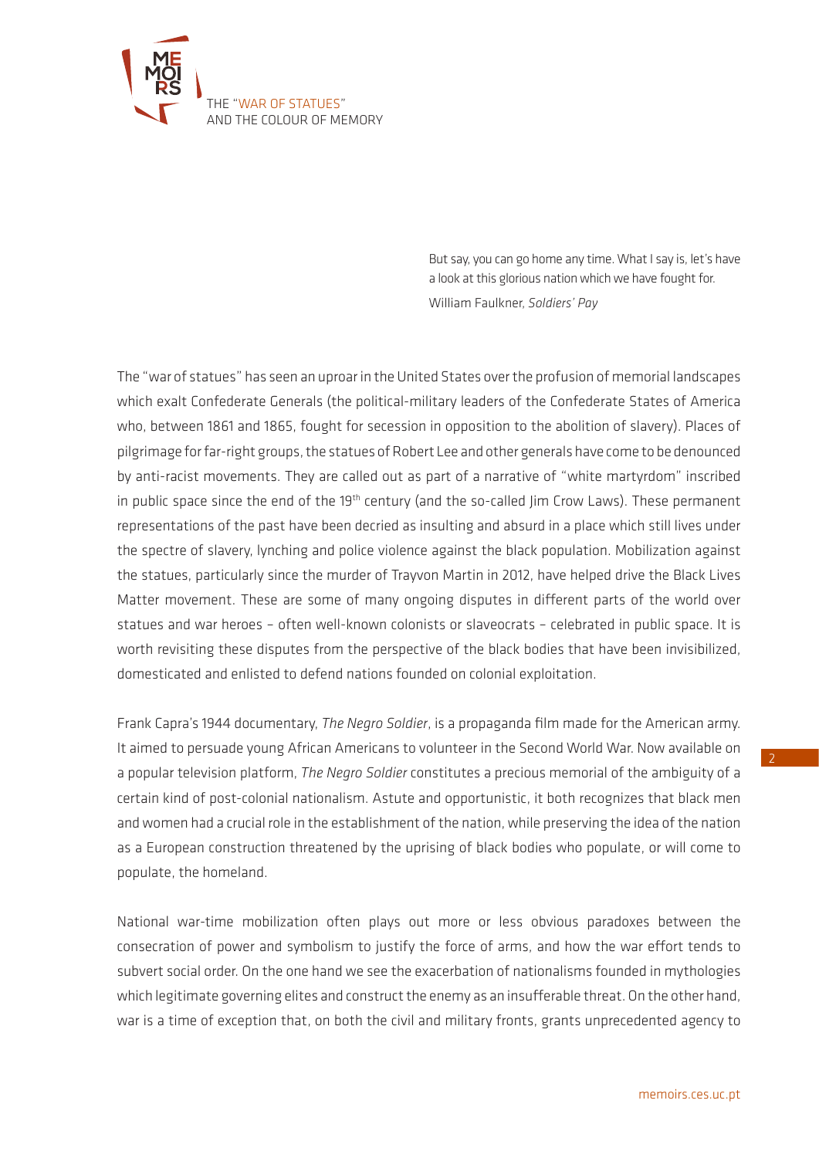

But say, you can go home any time. What I say is, let's have a look at this glorious nation which we have fought for. William Faulkner, *Soldiers' Pay*

The "war of statues" has seen an uproar in the United States over the profusion of memorial landscapes which exalt Confederate Generals (the political-military leaders of the Confederate States of America who, between 1861 and 1865, fought for secession in opposition to the abolition of slavery). Places of pilgrimage for far-right groups, the statues of Robert Lee and other generals have come to be denounced by anti-racist movements. They are called out as part of a narrative of "white martyrdom" inscribed in public space since the end of the 19<sup>th</sup> century (and the so-called Jim Crow Laws). These permanent representations of the past have been decried as insulting and absurd in a place which still lives under the spectre of slavery, lynching and police violence against the black population. Mobilization against the statues, particularly since the murder of Trayvon Martin in 2012, have helped drive the Black Lives Matter movement. These are some of many ongoing disputes in different parts of the world over statues and war heroes – often well-known colonists or slaveocrats – celebrated in public space. It is worth revisiting these disputes from the perspective of the black bodies that have been invisibilized, domesticated and enlisted to defend nations founded on colonial exploitation.

Frank Capra's 1944 documentary, *The Negro Soldier*, is a propaganda film made for the American army. It aimed to persuade young African Americans to volunteer in the Second World War. Now available on a popular television platform, *The Negro Soldier* constitutes a precious memorial of the ambiguity of a certain kind of post-colonial nationalism. Astute and opportunistic, it both recognizes that black men and women had a crucial role in the establishment of the nation, while preserving the idea of the nation as a European construction threatened by the uprising of black bodies who populate, or will come to populate, the homeland.

National war-time mobilization often plays out more or less obvious paradoxes between the consecration of power and symbolism to justify the force of arms, and how the war effort tends to subvert social order. On the one hand we see the exacerbation of nationalisms founded in mythologies which legitimate governing elites and construct the enemy as an insufferable threat. On the other hand, war is a time of exception that, on both the civil and military fronts, grants unprecedented agency to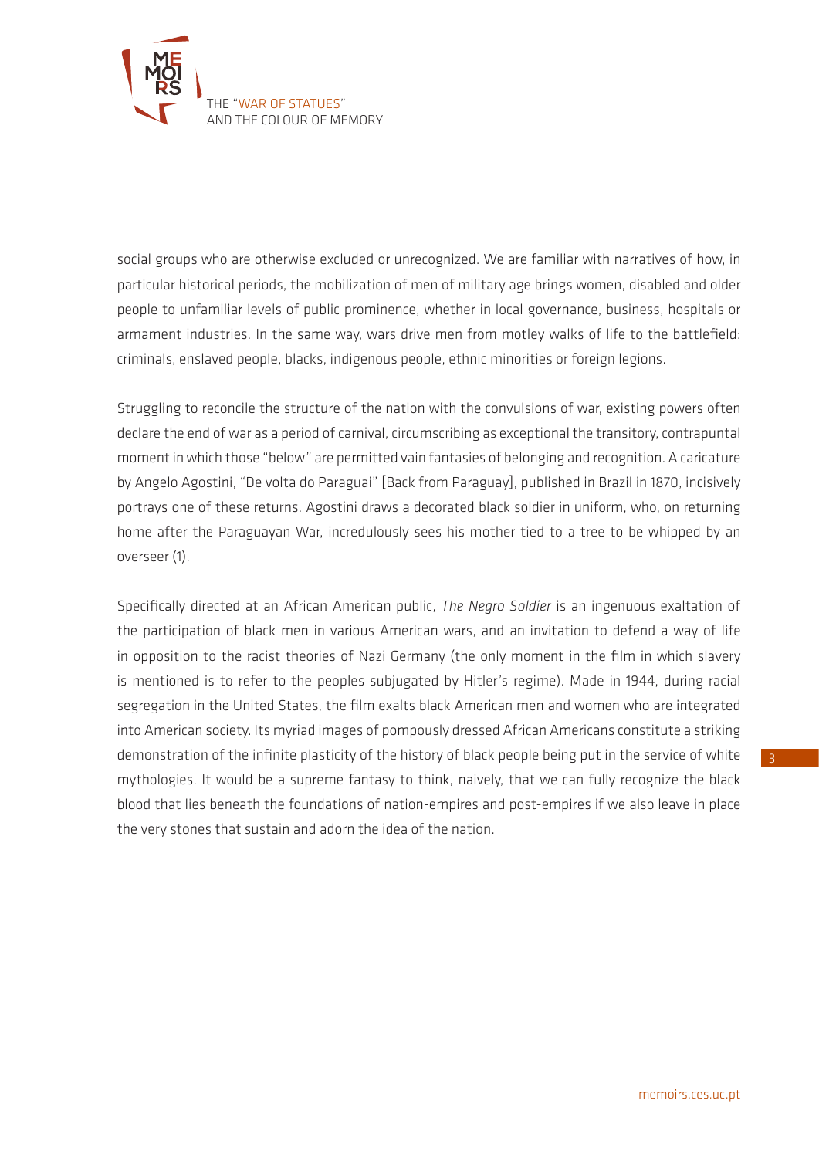

social groups who are otherwise excluded or unrecognized. We are familiar with narratives of how, in particular historical periods, the mobilization of men of military age brings women, disabled and older people to unfamiliar levels of public prominence, whether in local governance, business, hospitals or armament industries. In the same way, wars drive men from motley walks of life to the battlefield: criminals, enslaved people, blacks, indigenous people, ethnic minorities or foreign legions.

Struggling to reconcile the structure of the nation with the convulsions of war, existing powers often declare the end of war as a period of carnival, circumscribing as exceptional the transitory, contrapuntal moment in which those "below" are permitted vain fantasies of belonging and recognition. A caricature by Angelo Agostini, "De volta do Paraguai" [Back from Paraguay], published in Brazil in 1870, incisively portrays one of these returns. Agostini draws a decorated black soldier in uniform, who, on returning home after the Paraguayan War, incredulously sees his mother tied to a tree to be whipped by an overseer (1).

Specifically directed at an African American public, *The Negro Soldier* is an ingenuous exaltation of the participation of black men in various American wars, and an invitation to defend a way of life in opposition to the racist theories of Nazi Germany (the only moment in the film in which slavery is mentioned is to refer to the peoples subjugated by Hitler's regime). Made in 1944, during racial segregation in the United States, the film exalts black American men and women who are integrated into American society. Its myriad images of pompously dressed African Americans constitute a striking demonstration of the infinite plasticity of the history of black people being put in the service of white mythologies. It would be a supreme fantasy to think, naively, that we can fully recognize the black blood that lies beneath the foundations of nation-empires and post-empires if we also leave in place the very stones that sustain and adorn the idea of the nation.